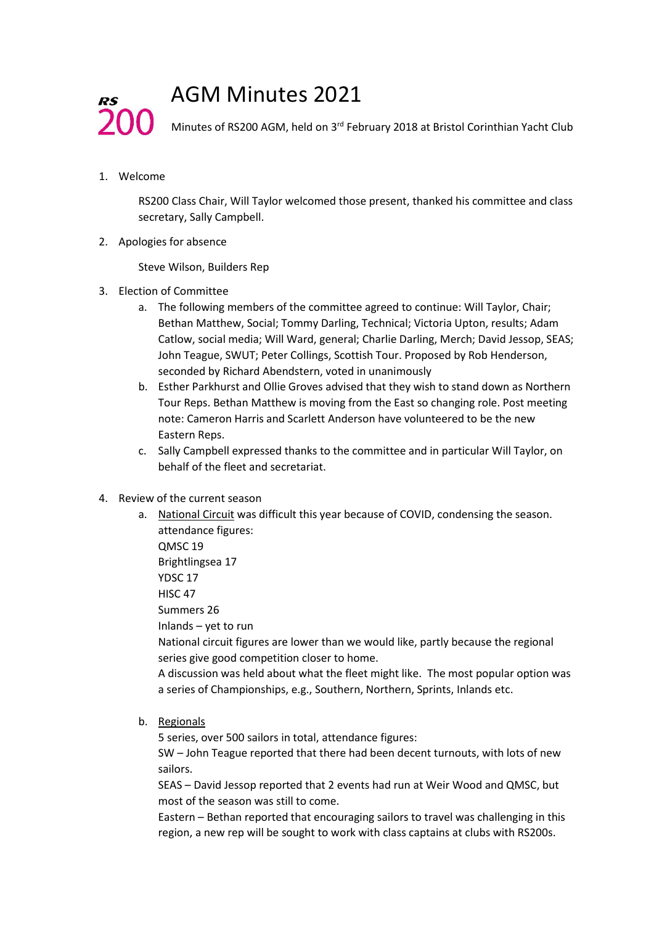## AGM Minutes 2021

Minutes of RS200 AGM, held on 3<sup>rd</sup> February 2018 at Bristol Corinthian Yacht Club

1. Welcome

200-

**RS** 

RS200 Class Chair, Will Taylor welcomed those present, thanked his committee and class secretary, Sally Campbell.

2. Apologies for absence

Steve Wilson, Builders Rep

- 3. Election of Committee
	- a. The following members of the committee agreed to continue: Will Taylor, Chair; Bethan Matthew, Social; Tommy Darling, Technical; Victoria Upton, results; Adam Catlow, social media; Will Ward, general; Charlie Darling, Merch; David Jessop, SEAS; John Teague, SWUT; Peter Collings, Scottish Tour. Proposed by Rob Henderson, seconded by Richard Abendstern, voted in unanimously
	- b. Esther Parkhurst and Ollie Groves advised that they wish to stand down as Northern Tour Reps. Bethan Matthew is moving from the East so changing role. Post meeting note: Cameron Harris and Scarlett Anderson have volunteered to be the new Eastern Reps.
	- c. Sally Campbell expressed thanks to the committee and in particular Will Taylor, on behalf of the fleet and secretariat.
- 4. Review of the current season
	- a. National Circuit was difficult this year because of COVID, condensing the season. attendance figures: QMSC 19 Brightlingsea 17 YDSC 17 HISC 47 Summers 26 Inlands – yet to run National circuit figures are lower than we would like, partly because the regional series give good competition closer to home. A discussion was held about what the fleet might like. The most popular option was
		- a series of Championships, e.g., Southern, Northern, Sprints, Inlands etc.
	- b. Regionals

5 series, over 500 sailors in total, attendance figures:

SW – John Teague reported that there had been decent turnouts, with lots of new sailors.

SEAS – David Jessop reported that 2 events had run at Weir Wood and QMSC, but most of the season was still to come.

Eastern – Bethan reported that encouraging sailors to travel was challenging in this region, a new rep will be sought to work with class captains at clubs with RS200s.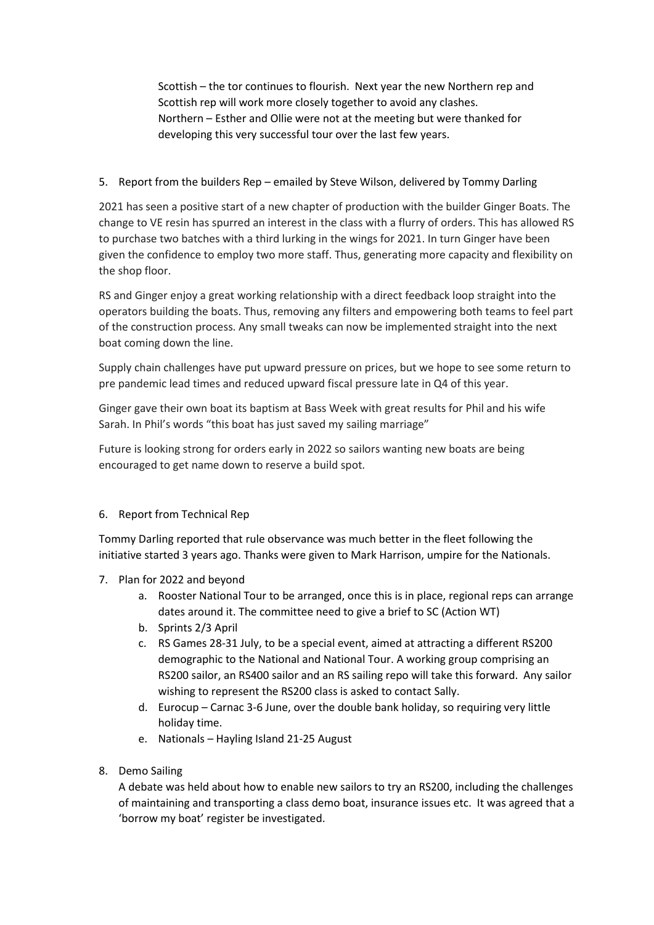Scottish – the tor continues to flourish. Next year the new Northern rep and Scottish rep will work more closely together to avoid any clashes. Northern – Esther and Ollie were not at the meeting but were thanked for developing this very successful tour over the last few years.

5. Report from the builders Rep – emailed by Steve Wilson, delivered by Tommy Darling

2021 has seen a positive start of a new chapter of production with the builder Ginger Boats. The change to VE resin has spurred an interest in the class with a flurry of orders. This has allowed RS to purchase two batches with a third lurking in the wings for 2021. In turn Ginger have been given the confidence to employ two more staff. Thus, generating more capacity and flexibility on the shop floor.

RS and Ginger enjoy a great working relationship with a direct feedback loop straight into the operators building the boats. Thus, removing any filters and empowering both teams to feel part of the construction process. Any small tweaks can now be implemented straight into the next boat coming down the line.

Supply chain challenges have put upward pressure on prices, but we hope to see some return to pre pandemic lead times and reduced upward fiscal pressure late in Q4 of this year.

Ginger gave their own boat its baptism at Bass Week with great results for Phil and his wife Sarah. In Phil's words "this boat has just saved my sailing marriage"

Future is looking strong for orders early in 2022 so sailors wanting new boats are being encouraged to get name down to reserve a build spot.

## 6. Report from Technical Rep

Tommy Darling reported that rule observance was much better in the fleet following the initiative started 3 years ago. Thanks were given to Mark Harrison, umpire for the Nationals.

- 7. Plan for 2022 and beyond
	- a. Rooster National Tour to be arranged, once this is in place, regional reps can arrange dates around it. The committee need to give a brief to SC (Action WT)
	- b. Sprints 2/3 April
	- c. RS Games 28-31 July, to be a special event, aimed at attracting a different RS200 demographic to the National and National Tour. A working group comprising an RS200 sailor, an RS400 sailor and an RS sailing repo will take this forward. Any sailor wishing to represent the RS200 class is asked to contact Sally.
	- d. Eurocup Carnac 3-6 June, over the double bank holiday, so requiring very little holiday time.
	- e. Nationals Hayling Island 21-25 August
- 8. Demo Sailing

A debate was held about how to enable new sailors to try an RS200, including the challenges of maintaining and transporting a class demo boat, insurance issues etc. It was agreed that a 'borrow my boat' register be investigated.